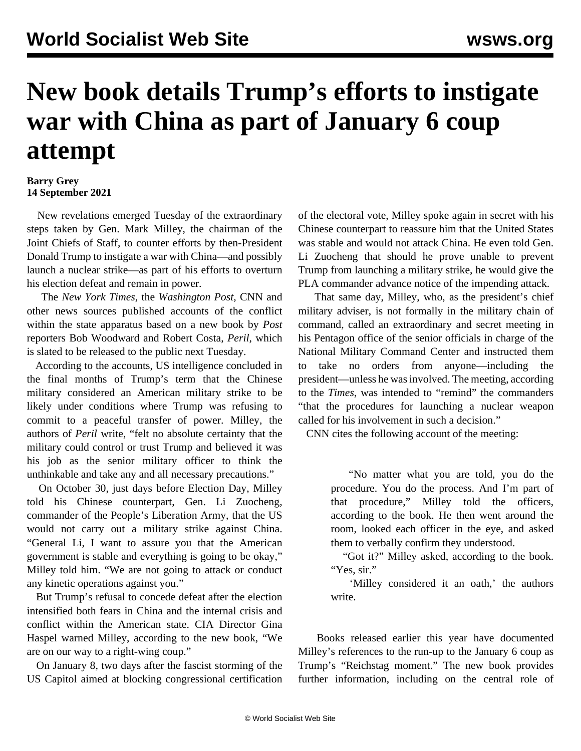## **New book details Trump's efforts to instigate war with China as part of January 6 coup attempt**

## **Barry Grey 14 September 2021**

 New revelations emerged Tuesday of the extraordinary steps taken by Gen. Mark Milley, the chairman of the Joint Chiefs of Staff, to counter efforts by then-President Donald Trump to instigate a war with China—and possibly launch a nuclear strike—as part of his efforts to overturn his election defeat and remain in power.

 The *New York Times*, the *Washington Post*, CNN and other news sources published accounts of the conflict within the state apparatus based on a new book by *Post* reporters Bob Woodward and Robert Costa, *Peril*, which is slated to be released to the public next Tuesday.

 According to the accounts, US intelligence concluded in the final months of Trump's term that the Chinese military considered an American military strike to be likely under conditions where Trump was refusing to commit to a peaceful transfer of power. Milley, the authors of *Peril* write, "felt no absolute certainty that the military could control or trust Trump and believed it was his job as the senior military officer to think the unthinkable and take any and all necessary precautions."

 On October 30, just days before Election Day, Milley told his Chinese counterpart, Gen. Li Zuocheng, commander of the People's Liberation Army, that the US would not carry out a military strike against China. "General Li, I want to assure you that the American government is stable and everything is going to be okay," Milley told him. "We are not going to attack or conduct any kinetic operations against you."

 But Trump's refusal to concede defeat after the election intensified both fears in China and the internal crisis and conflict within the American state. CIA Director Gina Haspel warned Milley, according to the new book, "We are on our way to a right-wing coup."

 On January 8, two days after the fascist storming of the US Capitol aimed at blocking congressional certification of the electoral vote, Milley spoke again in secret with his Chinese counterpart to reassure him that the United States was stable and would not attack China. He even told Gen. Li Zuocheng that should he prove unable to prevent Trump from launching a military strike, he would give the PLA commander advance notice of the impending attack.

 That same day, Milley, who, as the president's chief military adviser, is not formally in the military chain of command, called an extraordinary and secret meeting in his Pentagon office of the senior officials in charge of the National Military Command Center and instructed them to take no orders from anyone—including the president—unless he was involved. The meeting, according to the *Times*, was intended to "remind" the commanders "that the procedures for launching a nuclear weapon called for his involvement in such a decision."

CNN cites the following account of the meeting:

 "No matter what you are told, you do the procedure. You do the process. And I'm part of that procedure," Milley told the officers, according to the book. He then went around the room, looked each officer in the eye, and asked them to verbally confirm they understood.

 "Got it?" Milley asked, according to the book. "Yes, sir."

 'Milley considered it an oath,' the authors write.

 Books [released earlier this year](/en/articles/2021/07/16/pers-j16.html) have documented Milley's references to the run-up to the January 6 coup as Trump's "Reichstag moment." The new book provides further information, including on the central role of